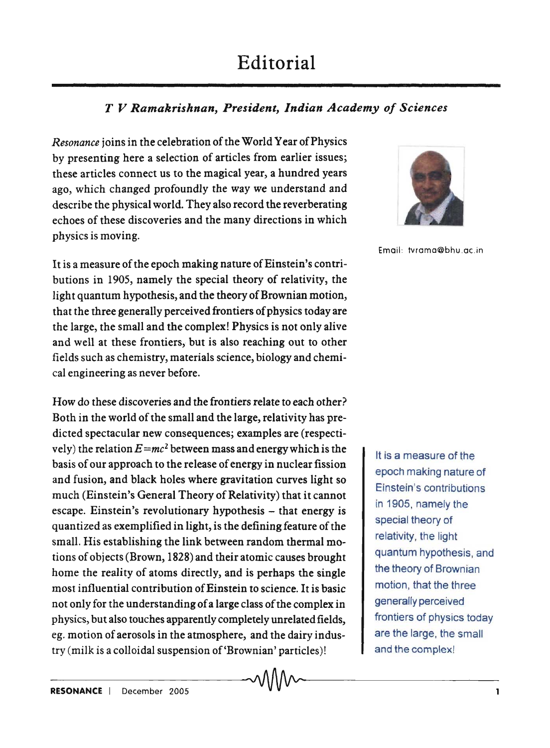## *T V Ramakrishnan, President, Indian Academy of Sciences*

*Resonance* joins in the celebration of the World Year of Physics by presenting here a selection of articles from earlier issues; these articles connect us to the magical year, a hundred years ago, which changed profoundly the way we understand and describe the physical world. They also record the reverberating echoes of these discoveries and the many directions in which physics is moving.

It is a measure of the epoch making nature of Einstein's contributions in 1905, namely the special theory of relativity, the light quantum hypothesis, and the theory of Brownian motion, that the three generally perceived frontiers of physics today are the large, the small and the complex! Physics is not only alive and well at these frontiers, but is also reaching out to other fields such as chemistry, materials science, biology and chemical engineering as never before.

How do these discoveries and the frontiers relate to each other? Both in the world of the small and the large, relativity has predicted spectacular new consequences; examples are (respectively) the relation  $E = mc^2$  between mass and energy which is the basis of our approach to the release of energy in nuclear fission and fusion, and black holes where gravitation curves light so much (Einstein's General Theory of Relativity) that it cannot escape. Einstein's revolutionary hypothesis – that energy is quantized as exemplified in light, is the defining feature of the small. His establishing the link between random thermal motions of objects (Brown, 1828) and their atomic causes brought home the reality of atoms directly, and is perhaps the single most influential contribution of Einstein to science. It is basic not only for the understanding of a large class of the complex in physics, but also touches apparently completely unrelated fields, eg. motion of aerosols in the atmosphere, and the dairy industry (milk is a colloidal suspension of 'Brownian' particles)!



Email: tvrama@bhu ac.in.

It is a measure of the epoch making nature of Einstein's contributions in 1905, namely the special theory of relativity, the light quantum hypothesis, and the theory of Brownian motion, that the three generally perceived frontiers of physics today are the large, the small and the complex!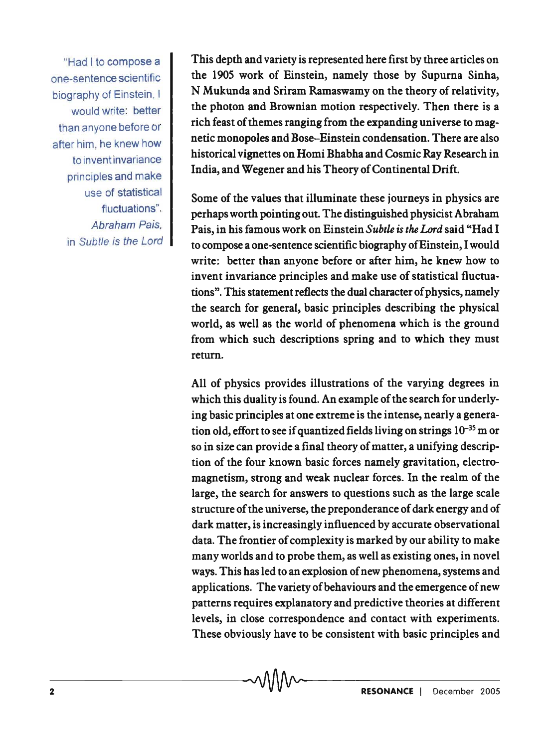"Had I to compose a one-sentence scientific biography of Einstein, I would write: better than anyone before or after him, he knew how to invent invariance principles and make use of statistical fluctuations". Abraham Pais, in Subtle is the Lord

This depth and variety is represented here first by three articles on the 1905 work of Einstein, namely those by Supurna Sinha, N Mukunda and Sriram Ramaswamy on the theory of relativity, the photon and Brownian motion respectively. Then there is a rich feast of themes ranging from the expanding universe to magnetic monopoles and Bose-Einstein condensation. There are also historical vignettes on Homi Bhabha and Cosmic Ray Research in India, and Wegener and his Theory of Continental Drift.

Some of the values that illuminate these journeys in physics are perhaps worth pointing out. The distinguished physicist Abraham Pais, in his famous work on Einstein *Subtle* is *the Lord* said "Had I to compose a one-sentence scientific biography of Einstein, I would write: better than anyone before or after him, he knew how to invent invariance principles and make use of statistical fluctuations". This statement reflects the dual character of physics, namely the search for general, basic principles describing the physical world, as well as the world of phenomena which is the ground from which such descriptions spring and to which they must return.

All of physics provides illustrations of the varying degrees in which this duality is found. An example of the search for underlying basic principles at one extreme is the intense, nearly a generation old, effort to see if quantized fields living on strings  $10^{-35}$  m or so in size can provide a final theory of matter, a unifying description of the four known basic forces namely gravitation, electromagnetism, strong and weak nuclear forces. In the realm of the large, the search for answers to questions such as the large scale structure of the universe, the preponderance of dark energy and of dark matter, is increasingly influenced by accurate observational data. The frontier of complexity is marked by our ability to make many worlds and to probe them, as well as existing ones, in novel ways. This has led to an explosion of new phenomena, systems and applications. The variety of behaviours and the emergence of new patterns requires explanatory and predictive theories at different levels, in close correspondence and contact with experiments. These obviously have to be consistent with basic principles and